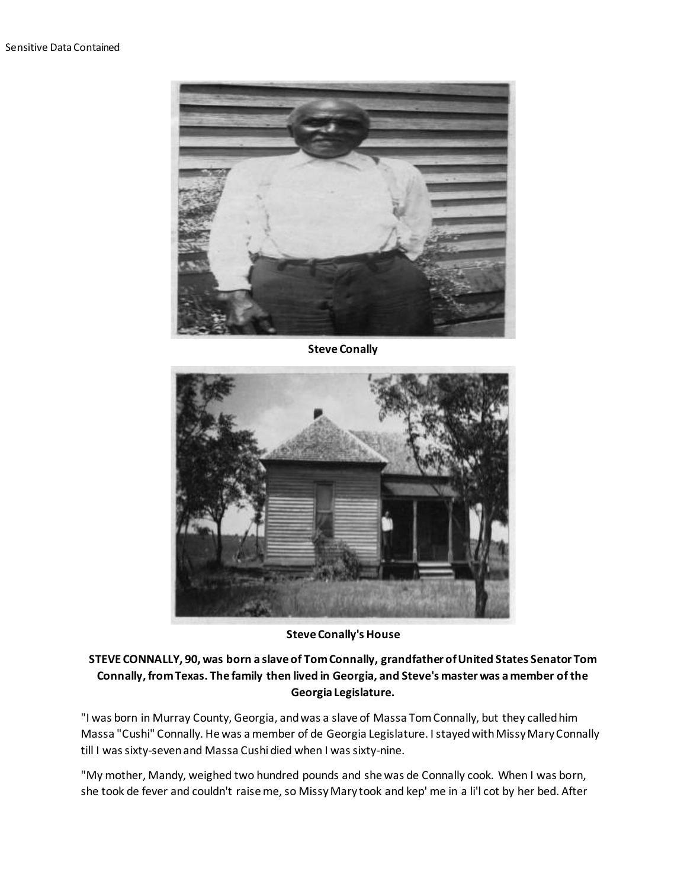

**Steve Conally**



**Steve Conally's House**

## **STEVE CONNALLY, 90, was born a slave of Tom Connally, grandfather of United States Senator Tom Connally, from Texas. The family then lived in Georgia, and Steve's master was a member of the Georgia Legislature.**

"I was born in Murray County, Georgia, and was a slave of Massa Tom Connally, but they called him Massa "Cushi" Connally. He was a member of de Georgia Legislature. I stayed with Missy Mary Connally till I was sixty-seven and Massa Cushi died when I was sixty-nine.

"My mother, Mandy, weighed two hundred pounds and she was de Connally cook. When I was born, she took de fever and couldn't raise me, so Missy Mary took and kep' me in a li'l cot by her bed. After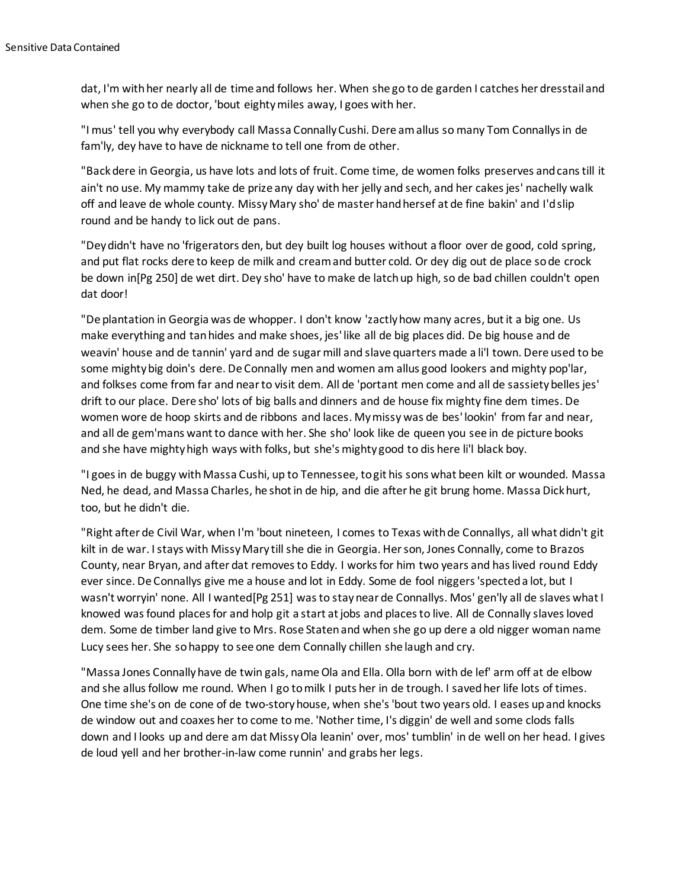dat, I'm with her nearly all de time and follows her. When she go to de garden I catches her dresstail and when she go to de doctor, 'bout eighty miles away, I goes with her.

"I mus' tell you why everybody call Massa Connally Cushi. Dere am allus so many Tom Connallys in de fam'ly, dey have to have de nickname to tell one from de other.

"Back dere in Georgia, us have lots and lots of fruit. Come time, de women folks preserves and cans till it ain't no use. My mammy take de prize any day with her jelly and sech, and her cakes jes' nachelly walk off and leave de whole county. Missy Mary sho' de master hand hersef at de fine bakin' and I'd slip round and be handy to lick out de pans.

"Dey didn't have no 'frigerators den, but dey built log houses without a floor over de good, cold spring, and put flat rocks dere to keep de milk and cream and butter cold. Or dey dig out de place so de crock be down in[Pg 250] de wet dirt. Dey sho' have to make de latch up high, so de bad chillen couldn't open dat door!

"De plantation in Georgia was de whopper. I don't know 'zactly how many acres, but it a big one. Us make everything and tan hides and make shoes, jes' like all de big places did. De big house and de weavin' house and de tannin' yard and de sugar mill and slave quarters made a li'l town. Dere used to be some mighty big doin's dere. De Connally men and women am allus good lookers and mighty pop'lar, and folkses come from far and near to visit dem. All de 'portant men come and all de sassiety belles jes' drift to our place. Dere sho' lots of big balls and dinners and de house fix mighty fine dem times. De women wore de hoop skirts and de ribbons and laces. My missy was de bes' lookin' from far and near, and all de gem'mans want to dance with her. She sho' look like de queen you see in de picture books and she have mighty high ways with folks, but she's mighty good to dis here li'l black boy.

"I goes in de buggy with Massa Cushi, up to Tennessee, to git his sons what been kilt or wounded. Massa Ned, he dead, and Massa Charles, he shot in de hip, and die after he git brung home. Massa Dick hurt, too, but he didn't die.

"Right after de Civil War, when I'm 'bout nineteen, I comes to Texas with de Connallys, all what didn't git kilt in de war. I stays with Missy Mary till she die in Georgia. Her son, Jones Connally, come to Brazos County, near Bryan, and after dat removes to Eddy. I works for him two years and has lived round Eddy ever since. De Connallys give me a house and lot in Eddy. Some de fool niggers 'spected a lot, but I wasn't worryin' none. All I wanted[Pg 251] was to stay near de Connallys. Mos' gen'ly all de slaves what I knowed was found places for and holp git a start at jobs and places to live. All de Connally slaves loved dem. Some de timber land give to Mrs. Rose Staten and when she go up dere a old nigger woman name Lucy sees her. She so happy to see one dem Connally chillen she laugh and cry.

"Massa Jones Connally have de twin gals, name Ola and Ella. Olla born with de lef' arm off at de elbow and she allus follow me round. When I go to milk I puts her in de trough. I saved her life lots of times. One time she's on de cone of de two-story house, when she's 'bout two years old. I eases up and knocks de window out and coaxes her to come to me. 'Nother time, I's diggin' de well and some clods falls down and I looks up and dere am dat Missy Ola leanin' over, mos' tumblin' in de well on her head. I gives de loud yell and her brother-in-law come runnin' and grabs her legs.